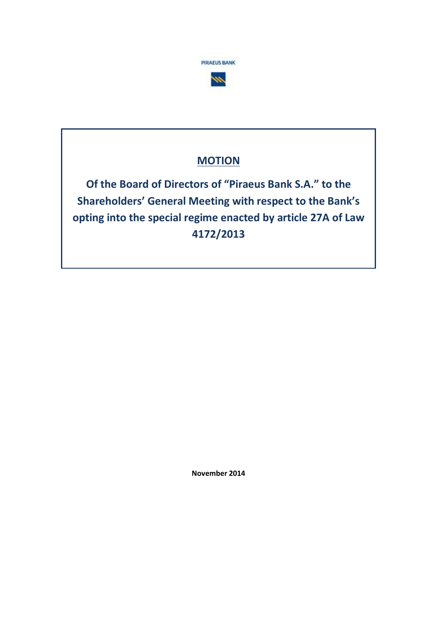



# **MOTION**

**Of the Board of Directors of "Piraeus Bank S.A." to the Shareholders' General Meeting with respect to the Bank's opting into the special regime enacted by article 27A of Law 4172/2013**

**November 2014**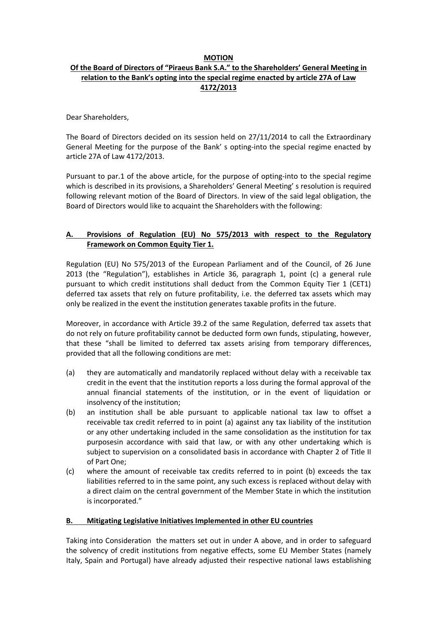### **MOTION**

# **Of the Board of Directors of "Piraeus Bank S.A." to the Shareholders' General Meeting in relation to the Bank's opting into the special regime enacted by article 27A of Law 4172/2013**

Dear Shareholders,

The Board of Directors decided on its session held on 27/11/2014 to call the Extraordinary General Meeting for the purpose of the Bank' s opting-into the special regime enacted by article 27A of Law 4172/2013.

Pursuant to par.1 of the above article, for the purpose of opting-into to the special regime which is described in its provisions, a Shareholders' General Meeting' s resolution is required following relevant motion of the Board of Directors. In view of the said legal obligation, the Board of Directors would like to acquaint the Shareholders with the following:

# **A. Provisions of Regulation (EU) No 575/2013 with respect to the Regulatory Framework on Common Equity Tier 1.**

Regulation (EU) No 575/2013 of the European Parliament and of the Council, of 26 June 2013 (the "Regulation"), establishes in Article 36, paragraph 1, point (c) a general rule pursuant to which credit institutions shall deduct from the Common Equity Tier 1 (CET1) deferred tax assets that rely on future profitability, i.e. the deferred tax assets which may only be realized in the event the institution generates taxable profits in the future.

Moreover, in accordance with Article 39.2 of the same Regulation, deferred tax assets that do not rely on future profitability cannot be deducted form own funds, stipulating, however, that these "shall be limited to deferred tax assets arising from temporary differences, provided that all the following conditions are met:

- (a) they are automatically and mandatorily replaced without delay with a receivable tax credit in the event that the institution reports a loss during the formal approval of the annual financial statements of the institution, or in the event of liquidation or insolvency of the institution;
- (b) an institution shall be able pursuant to applicable national tax law to offset a receivable tax credit referred to in point (a) against any tax liability of the institution or any other undertaking included in the same consolidation as the institution for tax purposesin accordance with said that law, or with any other undertaking which is subject to supervision on a consolidated basis in accordance with Chapter 2 of Title II of Part One;
- (c) where the amount of receivable tax credits referred to in point (b) exceeds the tax liabilities referred to in the same point, any such excess is replaced without delay with a direct claim on the central government of the Member State in which the institution is incorporated."

# **B. Mitigating Legislative Initiatives Implemented in other EU countries**

Taking into Consideration the matters set out in under A above, and in order to safeguard the solvency of credit institutions from negative effects, some EU Member States (namely Italy, Spain and Portugal) have already adjusted their respective national laws establishing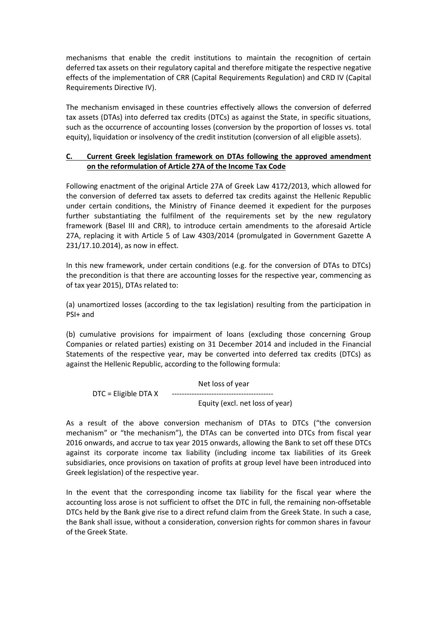mechanisms that enable the credit institutions to maintain the recognition of certain deferred tax assets on their regulatory capital and therefore mitigate the respective negative effects of the implementation of CRR (Capital Requirements Regulation) and CRD IV (Capital Requirements Directive IV).

The mechanism envisaged in these countries effectively allows the conversion of deferred tax assets (DTAs) into deferred tax credits (DTCs) as against the State, in specific situations, such as the occurrence of accounting losses (conversion by the proportion of losses vs. total equity), liquidation or insolvency of the credit institution (conversion of all eligible assets).

## **C. Current Greek legislation framework on DTAs following the approved amendment on the reformulation of Article 27A of the Income Tax Code**

Following enactment of the original Article 27A of Greek Law 4172/2013, which allowed for the conversion of deferred tax assets to deferred tax credits against the Hellenic Republic under certain conditions, the Ministry of Finance deemed it expedient for the purposes further substantiating the fulfilment of the requirements set by the new regulatory framework (Basel III and CRR), to introduce certain amendments to the aforesaid Article 27A, replacing it with Article 5 of Law 4303/2014 (promulgated in Government Gazette Α 231/17.10.2014), as now in effect.

In this new framework, under certain conditions (e.g. for the conversion of DTAs to DTCs) the precondition is that there are accounting losses for the respective year, commencing as of tax year 2015), DTAs related to:

(a) unamortized losses (according to the tax legislation) resulting from the participation in PSI+ and

(b) cumulative provisions for impairment of loans (excluding those concerning Group Companies or related parties) existing on 31 December 2014 and included in the Financial Statements of the respective year, may be converted into deferred tax credits (DTCs) as against the Hellenic Republic, according to the following formula:

Net loss of year DTC = Eligible DTA Χ ----------------------------------------- Equity (excl. net loss of year)

As a result of the above conversion mechanism of DTAs to DTCs ("the conversion mechanism" or "the mechanism"), the DTAs can be converted into DTCs from fiscal year 2016 onwards, and accrue to tax year 2015 onwards, allowing the Bank to set off these DTCs against its corporate income tax liability (including income tax liabilities of its Greek subsidiaries, once provisions on taxation of profits at group level have been introduced into Greek legislation) of the respective year.

In the event that the corresponding income tax liability for the fiscal year where the accounting loss arose is not sufficient to offset the DTC in full, the remaining non-offsetable DTCs held by the Bank give rise to a direct refund claim from the Greek State. In such a case, the Bank shall issue, without a consideration, conversion rights for common shares in favour of the Greek State.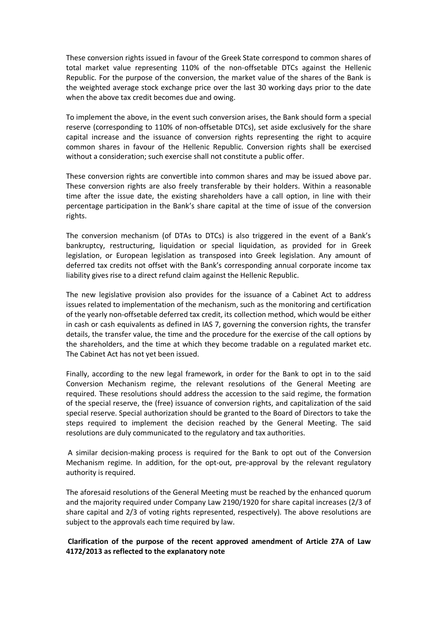These conversion rights issued in favour of the Greek State correspond to common shares of total market value representing 110% of the non-offsetable DTCs against the Hellenic Republic. For the purpose of the conversion, the market value of the shares of the Bank is the weighted average stock exchange price over the last 30 working days prior to the date when the above tax credit becomes due and owing.

To implement the above, in the event such conversion arises, the Bank should form a special reserve (corresponding to 110% of non-offsetable DTCs), set aside exclusively for the share capital increase and the issuance of conversion rights representing the right to acquire common shares in favour of the Hellenic Republic. Conversion rights shall be exercised without a consideration; such exercise shall not constitute a public offer.

These conversion rights are convertible into common shares and may be issued above par. These conversion rights are also freely transferable by their holders. Within a reasonable time after the issue date, the existing shareholders have a call option, in line with their percentage participation in the Bank's share capital at the time of issue of the conversion rights.

The conversion mechanism (of DTAs to DTCs) is also triggered in the event of a Bank's bankruptcy, restructuring, liquidation or special liquidation, as provided for in Greek legislation, or European legislation as transposed into Greek legislation. Any amount of deferred tax credits not offset with the Bank's corresponding annual corporate income tax liability gives rise to a direct refund claim against the Hellenic Republic.

The new legislative provision also provides for the issuance of a Cabinet Act to address issues related to implementation of the mechanism, such as the monitoring and certification of the yearly non-offsetable deferred tax credit, its collection method, which would be either in cash or cash equivalents as defined in IAS 7, governing the conversion rights, the transfer details, the transfer value, the time and the procedure for the exercise of the call options by the shareholders, and the time at which they become tradable on a regulated market etc. The Cabinet Act has not yet been issued.

Finally, according to the new legal framework, in order for the Bank to opt in to the said Conversion Mechanism regime, the relevant resolutions of the General Meeting are required. These resolutions should address the accession to the said regime, the formation of the special reserve, the (free) issuance of conversion rights, and capitalization of the said special reserve. Special authorization should be granted to the Board of Directors to take the steps required to implement the decision reached by the General Meeting. The said resolutions are duly communicated to the regulatory and tax authorities.

A similar decision-making process is required for the Bank to opt out of the Conversion Mechanism regime. In addition, for the opt-out, pre-approval by the relevant regulatory authority is required.

The aforesaid resolutions of the General Meeting must be reached by the enhanced quorum and the majority required under Company Law 2190/1920 for share capital increases (2/3 of share capital and 2/3 of voting rights represented, respectively). The above resolutions are subject to the approvals each time required by law.

# **Clarification of the purpose of the recent approved amendment of Article 27A of Law 4172/2013 as reflected to the explanatory note**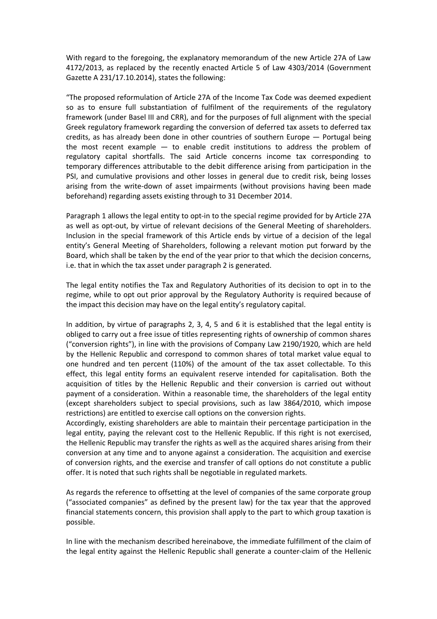With regard to the foregoing, the explanatory memorandum of the new Article 27Α of Law 4172/2013, as replaced by the recently enacted Article 5 of Law 4303/2014 (Government Gazette Α 231/17.10.2014), states the following:

"The proposed reformulation of Article 27Α of the Income Tax Code was deemed expedient so as to ensure full substantiation of fulfilment of the requirements of the regulatory framework (under Basel III and CRR), and for the purposes of full alignment with the special Greek regulatory framework regarding the conversion of deferred tax assets to deferred tax credits, as has already been done in other countries of southern Europe — Portugal being the most recent example — to enable credit institutions to address the problem of regulatory capital shortfalls. The said Article concerns income tax corresponding to temporary differences attributable to the debit difference arising from participation in the PSI, and cumulative provisions and other losses in general due to credit risk, being losses arising from the write-down of asset impairments (without provisions having been made beforehand) regarding assets existing through to 31 December 2014.

Paragraph 1 allows the legal entity to opt-in to the special regime provided for by Article 27Α as well as opt-out, by virtue of relevant decisions of the General Meeting of shareholders. Inclusion in the special framework of this Article ends by virtue of a decision of the legal entity's General Meeting of Shareholders, following a relevant motion put forward by the Board, which shall be taken by the end of the year prior to that which the decision concerns, i.e. that in which the tax asset under paragraph 2 is generated.

The legal entity notifies the Tax and Regulatory Authorities of its decision to opt in to the regime, while to opt out prior approval by the Regulatory Authority is required because of the impact this decision may have on the legal entity's regulatory capital.

In addition, by virtue of paragraphs 2, 3, 4, 5 and 6 it is established that the legal entity is obliged to carry out a free issue of titles representing rights of ownership of common shares ("conversion rights"), in line with the provisions of Company Law 2190/1920, which are held by the Hellenic Republic and correspond to common shares of total market value equal to one hundred and ten percent (110%) of the amount of the tax asset collectable. To this effect, this legal entity forms an equivalent reserve intended for capitalisation. Both the acquisition of titles by the Hellenic Republic and their conversion is carried out without payment of a consideration. Within a reasonable time, the shareholders of the legal entity (except shareholders subject to special provisions, such as law 3864/2010, which impose restrictions) are entitled to exercise call options on the conversion rights.

Accordingly, existing shareholders are able to maintain their percentage participation in the legal entity, paying the relevant cost to the Hellenic Republic. If this right is not exercised, the Hellenic Republic may transfer the rights as well as the acquired shares arising from their conversion at any time and to anyone against a consideration. The acquisition and exercise of conversion rights, and the exercise and transfer of call options do not constitute a public offer. It is noted that such rights shall be negotiable in regulated markets.

As regards the reference to offsetting at the level of companies of the same corporate group ("associated companies" as defined by the present law) for the tax year that the approved financial statements concern, this provision shall apply to the part to which group taxation is possible.

In line with the mechanism described hereinabove, the immediate fulfillment of the claim of the legal entity against the Hellenic Republic shall generate a counter-claim of the Hellenic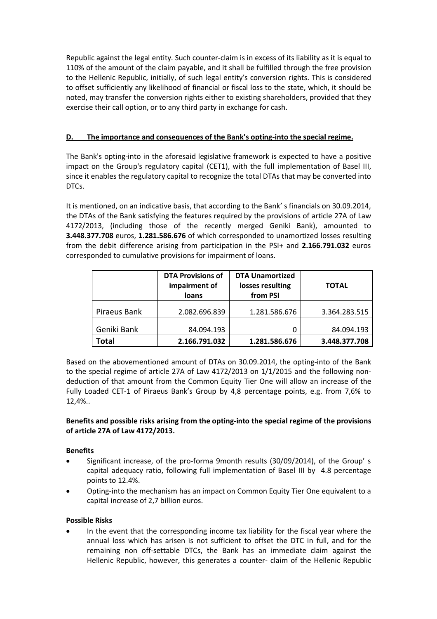Republic against the legal entity. Such counter-claim is in excess of its liability as it is equal to 110% of the amount of the claim payable, and it shall be fulfilled through the free provision to the Hellenic Republic, initially, of such legal entity's conversion rights. This is considered to offset sufficiently any likelihood of financial or fiscal loss to the state, which, it should be noted, may transfer the conversion rights either to existing shareholders, provided that they exercise their call option, or to any third party in exchange for cash.

# **D. The importance and consequences of the Bank's opting-into the special regime.**

The Bank's opting-into in the aforesaid legislative framework is expected to have a positive impact on the Group's regulatory capital (CET1), with the full implementation of Basel III, since it enables the regulatory capital to recognize the total DTAs that may be converted into DTCs.

It is mentioned, on an indicative basis, that according to the Bank' s financials on 30.09.2014, the DTAs of the Bank satisfying the features required by the provisions of article 27A of Law 4172/2013, (including those of the recently merged Geniki Bank), amounted to **3.448.377.708** euros, **1.281.586.676** of which corresponded to unamortized losses resulting from the debit difference arising from participation in the PSI+ and **2.166.791.032** euros corresponded to cumulative provisions for impairment of loans.

|              | <b>DTA Provisions of</b><br>impairment of<br>loans | <b>DTA Unamortized</b><br>losses resulting<br>from PSI | <b>TOTAL</b>  |
|--------------|----------------------------------------------------|--------------------------------------------------------|---------------|
| Piraeus Bank | 2.082.696.839                                      | 1.281.586.676                                          | 3.364.283.515 |
| Geniki Bank  | 84.094.193                                         | 0                                                      | 84.094.193    |
| Total        | 2.166.791.032                                      | 1.281.586.676                                          | 3.448.377.708 |

Based on the abovementioned amount of DTAs on 30.09.2014, the opting-into of the Bank to the special regime of article 27A of Law 4172/2013 on 1/1/2015 and the following nondeduction of that amount from the Common Equity Tier One will allow an increase of the Fully Loaded CET-1 of Piraeus Bank's Group by 4,8 percentage points, e.g. from 7,6% to 12,4%..

# **Benefits and possible risks arising from the opting-into the special regime of the provisions of article 27A of Law 4172/2013.**

# **Benefits**

- Significant increase, of the pro-forma 9month results (30/09/2014), of the Group' s capital adequacy ratio, following full implementation of Basel III by 4.8 percentage points to 12.4%.
- Opting-into the mechanism has an impact on Common Equity Tier One equivalent to a capital increase of 2,7 billion euros.

# **Possible Risks**

 In the event that the corresponding income tax liability for the fiscal year where the annual loss which has arisen is not sufficient to offset the DTC in full, and for the remaining non off-settable DTCs, the Bank has an immediate claim against the Hellenic Republic, however, this generates a counter- claim of the Hellenic Republic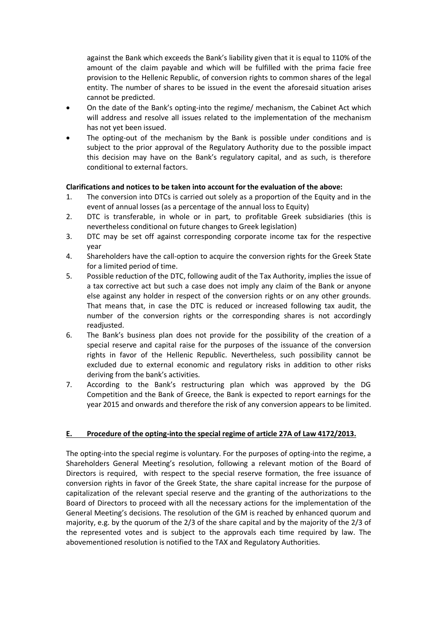against the Bank which exceeds the Bank's liability given that it is equal to 110% of the amount of the claim payable and which will be fulfilled with the prima facie free provision to the Hellenic Republic, of conversion rights to common shares of the legal entity. The number of shares to be issued in the event the aforesaid situation arises cannot be predicted.

- On the date of the Bank's opting-into the regime/ mechanism, the Cabinet Act which will address and resolve all issues related to the implementation of the mechanism has not yet been issued.
- The opting-out of the mechanism by the Bank is possible under conditions and is subject to the prior approval of the Regulatory Authority due to the possible impact this decision may have on the Bank's regulatory capital, and as such, is therefore conditional to external factors.

### **Clarifications and notices to be taken into account for the evaluation of the above:**

- 1. The conversion into DTCs is carried out solely as a proportion of the Equity and in the event of annual losses (as a percentage of the annual loss to Equity)
- 2. DTC is transferable, in whole or in part, to profitable Greek subsidiaries (this is nevertheless conditional on future changes to Greek legislation)
- 3. DTC may be set off against corresponding corporate income tax for the respective year
- 4. Shareholders have the call-option to acquire the conversion rights for the Greek State for a limited period of time.
- 5. Possible reduction of the DTC, following audit of the Tax Authority, implies the issue of a tax corrective act but such a case does not imply any claim of the Bank or anyone else against any holder in respect of the conversion rights or on any other grounds. That means that, in case the DTC is reduced or increased following tax audit, the number of the conversion rights or the corresponding shares is not accordingly readjusted.
- 6. The Bank's business plan does not provide for the possibility of the creation of a special reserve and capital raise for the purposes of the issuance of the conversion rights in favor of the Hellenic Republic. Nevertheless, such possibility cannot be excluded due to external economic and regulatory risks in addition to other risks deriving from the bank's activities.
- 7. According to the Bank's restructuring plan which was approved by the DG Competition and the Bank of Greece, the Bank is expected to report earnings for the year 2015 and onwards and therefore the risk of any conversion appears to be limited.

#### **E. Procedure of the opting-into the special regime of article 27A of Law 4172/2013.**

The opting-into the special regime is voluntary. For the purposes of opting-into the regime, a Shareholders General Meeting's resolution, following a relevant motion of the Board of Directors is required, with respect to the special reserve formation, the free issuance of conversion rights in favor of the Greek State, the share capital increase for the purpose of capitalization of the relevant special reserve and the granting of the authorizations to the Board of Directors to proceed with all the necessary actions for the implementation of the General Meeting's decisions. The resolution of the GM is reached by enhanced quorum and majority, e.g. by the quorum of the 2/3 of the share capital and by the majority of the 2/3 of the represented votes and is subject to the approvals each time required by law. The abovementioned resolution is notified to the TAX and Regulatory Authorities.